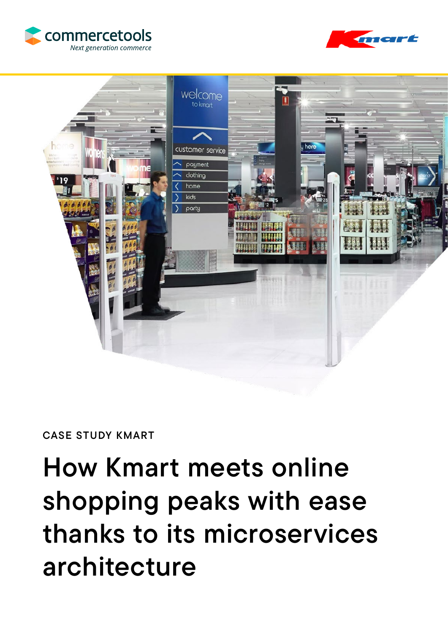





### CASE STUDY KMART

# How Kmart meets online shopping peaks with ease thanks to its microservices architecture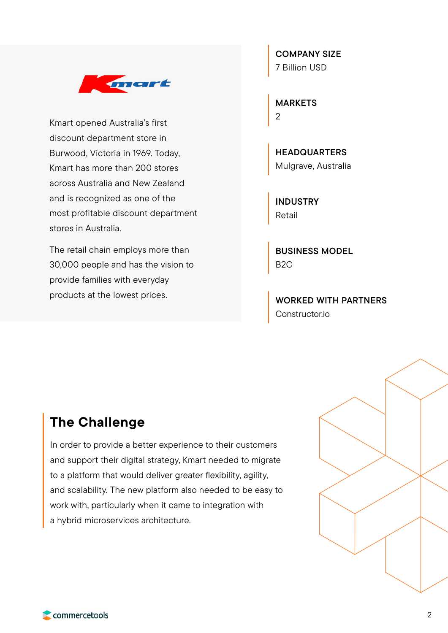

Kmart opened Australia's first discount department store in Burwood, Victoria in 1969. Today, Kmart has more than 200 stores across Australia and New Zealand and is recognized as one of the most profitable discount department stores in Australia.

The retail chain employs more than 30,000 people and has the vision to provide families with everyday products at the lowest prices.

COMPANY SIZE 7 Billion USD

MARKETS 2

**HEADQUARTERS** Mulgrave, Australia

INDUSTRY Retail

BUSINESS MODEL B2C

WORKED WITH PARTNERS Constructor.io

## The Challenge

In order to provide a better experience to their customers and support their digital strategy, Kmart needed to migrate to a platform that would deliver greater flexibility, agility, and scalability. The new platform also needed to be easy to work with, particularly when it came to integration with a hybrid microservices architecture.

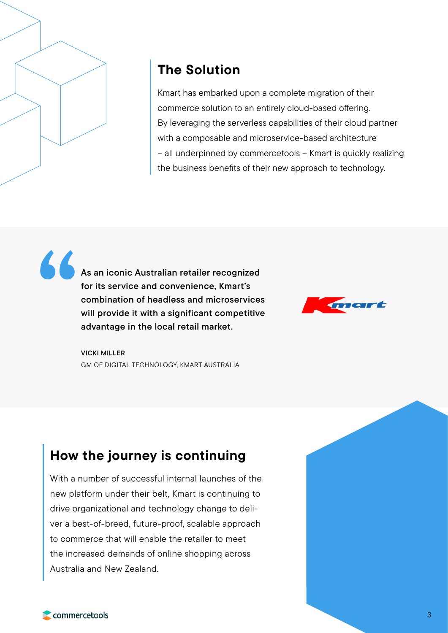

## The Solution

Kmart has embarked upon a complete migration of their commerce solution to an entirely cloud-based offering. By leveraging the serverless capabilities of their cloud partner with a composable and microservice-based architecture – all underpinned by commercetools – Kmart is quickly realizing the business benefits of their new approach to technology.

As an iconic Australian retailer recognized for its service and convenience, Kmart's combination of headless and microservices will provide it with a significant competitive advantage in the local retail market. "



VICKI MILLER GM OF DIGITAL TECHNOLOGY, KMART AUSTRALIA

# How the journey is continuing

With a number of successful internal launches of the new platform under their belt, Kmart is continuing to drive organizational and technology change to deliver a best-of-breed, future-proof, scalable approach to commerce that will enable the retailer to meet the increased demands of online shopping across Australia and New Zealand.